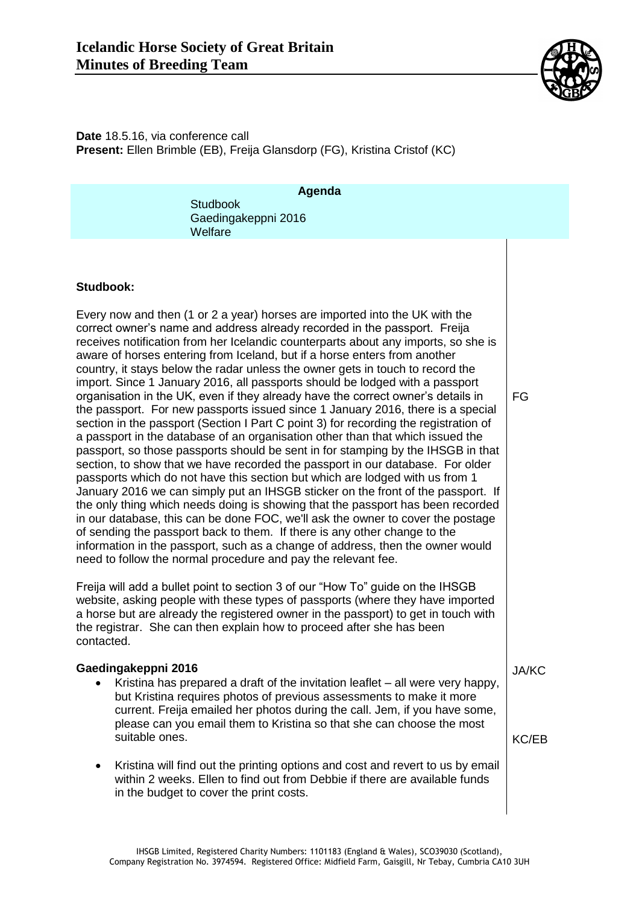

**Date** 18.5.16, via conference call **Present:** Ellen Brimble (EB), Freija Glansdorp (FG), Kristina Cristof (KC)

| Agenda<br><b>Studbook</b><br>Gaedingakeppni 2016<br>Welfare                                                                                                                                                                                                                                                                                                                                                                                                                                                                                                                                                                                                                                                                                                                                                                                                                                                                                                                                                                                                                                                                                                                                                                                                                                                                                                                                                                                                                                                                                                                                                 |                              |
|-------------------------------------------------------------------------------------------------------------------------------------------------------------------------------------------------------------------------------------------------------------------------------------------------------------------------------------------------------------------------------------------------------------------------------------------------------------------------------------------------------------------------------------------------------------------------------------------------------------------------------------------------------------------------------------------------------------------------------------------------------------------------------------------------------------------------------------------------------------------------------------------------------------------------------------------------------------------------------------------------------------------------------------------------------------------------------------------------------------------------------------------------------------------------------------------------------------------------------------------------------------------------------------------------------------------------------------------------------------------------------------------------------------------------------------------------------------------------------------------------------------------------------------------------------------------------------------------------------------|------------------------------|
| Studbook:<br>Every now and then (1 or 2 a year) horses are imported into the UK with the<br>correct owner's name and address already recorded in the passport. Freija<br>receives notification from her Icelandic counterparts about any imports, so she is<br>aware of horses entering from Iceland, but if a horse enters from another<br>country, it stays below the radar unless the owner gets in touch to record the<br>import. Since 1 January 2016, all passports should be lodged with a passport<br>organisation in the UK, even if they already have the correct owner's details in<br>the passport. For new passports issued since 1 January 2016, there is a special<br>section in the passport (Section I Part C point 3) for recording the registration of<br>a passport in the database of an organisation other than that which issued the<br>passport, so those passports should be sent in for stamping by the IHSGB in that<br>section, to show that we have recorded the passport in our database. For older<br>passports which do not have this section but which are lodged with us from 1<br>January 2016 we can simply put an IHSGB sticker on the front of the passport. If<br>the only thing which needs doing is showing that the passport has been recorded<br>in our database, this can be done FOC, we'll ask the owner to cover the postage<br>of sending the passport back to them. If there is any other change to the<br>information in the passport, such as a change of address, then the owner would<br>need to follow the normal procedure and pay the relevant fee. | FG                           |
| Freija will add a bullet point to section 3 of our "How To" guide on the IHSGB<br>website, asking people with these types of passports (where they have imported<br>a horse but are already the registered owner in the passport) to get in touch with<br>the registrar. She can then explain how to proceed after she has been<br>contacted.                                                                                                                                                                                                                                                                                                                                                                                                                                                                                                                                                                                                                                                                                                                                                                                                                                                                                                                                                                                                                                                                                                                                                                                                                                                               |                              |
| Gaedingakeppni 2016<br>Kristina has prepared a draft of the invitation leaflet - all were very happy,<br>but Kristina requires photos of previous assessments to make it more<br>current. Freija emailed her photos during the call. Jem, if you have some,<br>please can you email them to Kristina so that she can choose the most<br>suitable ones.                                                                                                                                                                                                                                                                                                                                                                                                                                                                                                                                                                                                                                                                                                                                                                                                                                                                                                                                                                                                                                                                                                                                                                                                                                                      | <b>JA/KC</b><br><b>KC/EB</b> |
| Kristina will find out the printing options and cost and revert to us by email<br>within 2 weeks. Ellen to find out from Debbie if there are available funds<br>in the budget to cover the print costs.                                                                                                                                                                                                                                                                                                                                                                                                                                                                                                                                                                                                                                                                                                                                                                                                                                                                                                                                                                                                                                                                                                                                                                                                                                                                                                                                                                                                     |                              |